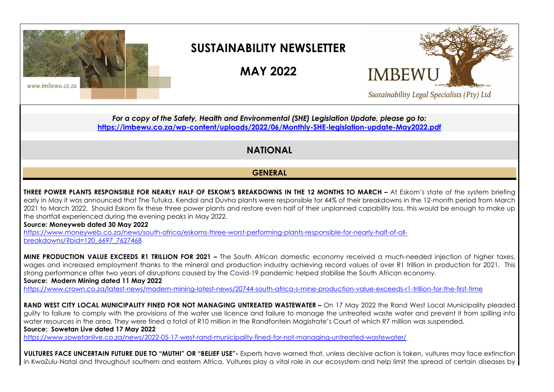

# **SUSTAINABILITY NEWSLETTER**

**MAY 2022** 



*For a copy of the Safety, Health and Environmental (SHE) Legislation Update, please go to:*  **<https://imbewu.co.za/wp-content/uploads/2022/06/Monthly-SHE-legislation-update-May2022.pdf>**

## **NATIONAL**

### **GENERAL**

**THREE POWER PLANTS RESPONSIBLE FOR NEARLY HALF OF ESKOM'S BREAKDOWNS IN THE 12 MONTHS TO MARCH - At Eskom's state of the system briefing** early in May it was announced that The Tutuka, Kendal and Duvha plants were responsible for 44% of their breakdowns in the 12-month period from March 2021 to March 2022.Should Eskom fix these three power plants and restore even half of their unplanned capability loss, this would be enough to make up the shortfall experienced during the evening peaks in May 2022.

#### **Source: Moneyweb dated 30 May 2022**

[https://www.moneyweb.co.za/news/south-africa/eskoms-three-worst-performing-plants-responsible-for-nearly-half-of-all](https://www.moneyweb.co.za/news/south-africa/eskoms-three-worst-performing-plants-responsible-for-nearly-half-of-all-breakdowns/?bid=120_6697_7627468)[breakdowns/?bid=120\\_6697\\_7627468](https://www.moneyweb.co.za/news/south-africa/eskoms-three-worst-performing-plants-responsible-for-nearly-half-of-all-breakdowns/?bid=120_6697_7627468) 

**MINE PRODUCTION VALUE EXCEEDS R1 TRILLION FOR 2021 –** The South African domestic economy received a much-needed injection of higher taxes, wages and increased employment thanks to the mineral and production industry achieving record values of over R1 trillion in production for 2021. This strong performance after two years of disruptions caused by the Covid-19 pandemic helped stabilise the South African economy. **Source: Modern Mining dated 11 May 2022**

<https://www.crown.co.za/latest-news/modern-mining-latest-news/20744-south-africa-s-mine-production-value-exceeds-r1-trillion-for-the-first-time>

**RAND WEST CITY LOCAL MUNICIPALITY FINED FOR NOT MANAGING UNTREATED WASTEWATER –** On 17 May 2022 the Rand West Local Municipality pleaded guilty to failure to comply with the provisions of the water use licence and failure to manage the untreated waste water and prevent it from spilling into water resources in the area. They were fined a total of R10 million in the Randfontein Magistrate's Court of which R7 million was suspended. **Source: Sowetan Live dated 17 May 2022**

<https://www.sowetanlive.co.za/news/2022-05-17-west-rand-municipality-fined-for-not-managing-untreated-wastewater/>

**VULTURES FACE UNCERTAIN FUTURE DUE TO "MUTHI" OR "BELIEF USE"-** Experts have warned that, unless decisive action is taken, vultures may face extinction in KwaZulu-Natal and throughout southern and eastern Africa. Vultures play a vital role in our ecosystem and help limit the spread of certain diseases by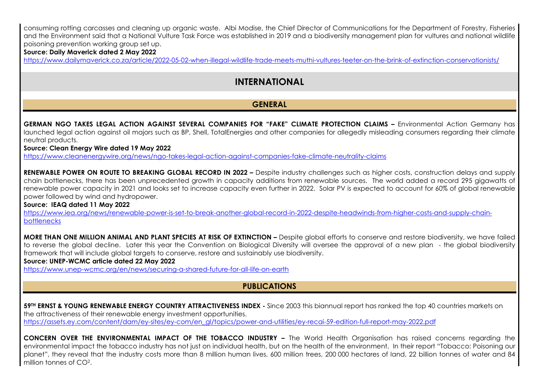consuming rotting carcasses and cleaning up organic waste. Albi Modise, the Chief Director of Communications for the Department of Forestry, Fisheries and the Environment said that a National Vulture Task Force was established in 2019 and a biodiversity management plan for vultures and national wildlife poisoning prevention working group set up.

#### **Source: Daily Maverick dated 2 May 2022**

<https://www.dailymaverick.co.za/article/2022-05-02-when-illegal-wildlife-trade-meets-muthi-vultures-teeter-on-the-brink-of-extinction-conservationists/>

## **INTERNATIONAL**

### **GENERAL**

**GERMAN NGO TAKES LEGAL ACTION AGAINST SEVERAL COMPANIES FOR "FAKE" CLIMATE PROTECTION CLAIMS –** Environmental Action Germany has launched legal action against oil majors such as BP, Shell, TotalEnergies and other companies for allegedly misleading consumers regarding their climate neutral products.

#### **Source: Clean Energy Wire dated 19 May 2022**

<https://www.cleanenergywire.org/news/ngo-takes-legal-action-against-companies-fake-climate-neutrality-claims>

**RENEWABLE POWER ON ROUTE TO BREAKING GLOBAL RECORD IN 2022 –** Despite industry challenges such as higher costs, construction delays and supply chain bottlenecks, there has been unprecedented growth in capacity additions from renewable sources. The world added a record 295 gigawatts of renewable power capacity in 2021 and looks set to increase capacity even further in 2022. Solar PV is expected to account for 60% of global renewable power followed by wind and hydropower.

#### **Source: IEAQ dated 11 May 2022**

[https://www.iea.org/news/renewable-power-is-set-to-break-another-global-record-in-2022-despite-headwinds-from-higher-costs-and-supply-chain](https://www.iea.org/news/renewable-power-is-set-to-break-another-global-record-in-2022-despite-headwinds-from-higher-costs-and-supply-chain-bottlenecks)**bottlenecks** 

**MORE THAN ONE MILLION ANIMAL AND PLANT SPECIES AT RISK OF EXTINCTION –** Despite global efforts to conserve and restore biodiversity, we have failed to reverse the global decline. Later this year the Convention on Biological Diversity will oversee the approval of a new plan - the global biodiversity framework that will include global targets to conserve, restore and sustainably use biodiversity.

#### **Source: UNEP-WCMC article dated 22 May 2022**

<https://www.unep-wcmc.org/en/news/securing-a-shared-future-for-all-life-on-earth>

### **PUBLICATIONS**

**59TH ERNST & YOUNG RENEWABLE ENERGY COUNTRY ATTRACTIVENESS INDEX -** Since 2003 this biannual report has ranked the top 40 countries markets on the attractiveness of their renewable energy investment opportunities.

[https://assets.ey.com/content/dam/ey-sites/ey-com/en\\_gl/topics/power-and-utilities/ey-recai-59-edition-full-report-may-2022.pdf](https://assets.ey.com/content/dam/ey-sites/ey-com/en_gl/topics/power-and-utilities/ey-recai-59-edition-full-report-may-2022.pdf) 

**CONCERN OVER THE ENVIRONMENTAL IMPACT OF THE TOBACCO INDUSTRY –** The World Health Organisation has raised concerns regarding the environmental impact the tobacco industry has not just on individual health, but on the health of the environment. In their report "Tobacco: Poisoning our planet", they reveal that the industry costs more than 8 million human lives, 600 million trees, 200 000 hectares of land, 22 billion tonnes of water and 84 million tonnes of CO<sup>2</sup>.